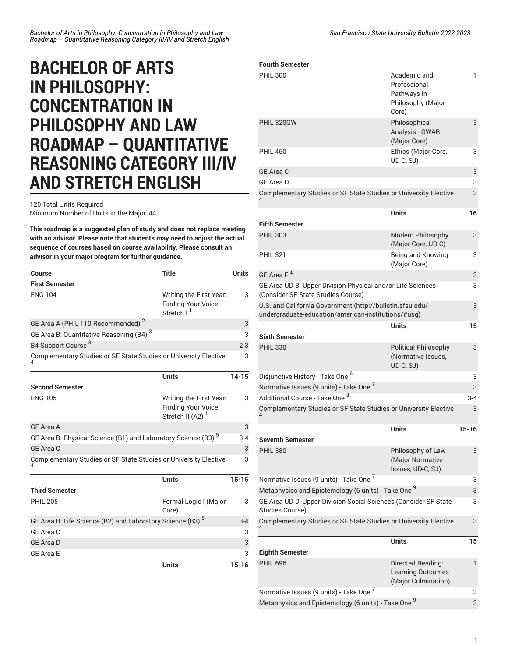## **BACHELOR OF ARTS IN PHILOSOPHY: CONCENTRATION IN PHILOSOPHY AND LAW ROADMAP – QUANTITATIVE REASONING CATEGORY III/IV AND STRETCH ENGLISH**

120 Total Units Required Minimum Number of Units in the Major: 44

**This roadmap is a suggested plan of study and does not replace meeting with an advisor. Please note that students may need to adjust the actual sequence of courses based on course availability. Please consult an advisor in your major program for further guidance.**

| Course                                                                    | <b>Title</b>                                                                | <b>Units</b> |
|---------------------------------------------------------------------------|-----------------------------------------------------------------------------|--------------|
| <b>First Semester</b>                                                     |                                                                             |              |
| <b>ENG 104</b>                                                            | Writing the First Year.<br><b>Finding Your Voice</b><br>Stretch I           | 3            |
| GE Area A (PHIL 110 Recommended) <sup>2</sup>                             |                                                                             | 3            |
| GE Area B: Quantitative Reasoning (B4) <sup>3</sup>                       |                                                                             |              |
| B4 Support Course <sup>3</sup>                                            |                                                                             | $2 - 3$      |
| Complementary Studies or SF State Studies or University Elective          |                                                                             | 3            |
|                                                                           | <b>Units</b>                                                                | $14 - 15$    |
| <b>Second Semester</b>                                                    |                                                                             |              |
| <b>ENG 105</b>                                                            | Writing the First Year.<br><b>Finding Your Voice</b><br>Stretch II (A2) $1$ | 3            |
| <b>GE</b> Area A                                                          |                                                                             | 3            |
| GE Area B: Physical Science (B1) and Laboratory Science (B3) <sup>5</sup> |                                                                             | $3-4$        |
| <b>GE Area C</b>                                                          |                                                                             | 3            |
| Complementary Studies or SF State Studies or University Elective          |                                                                             | 3            |
|                                                                           | <b>Units</b>                                                                | $15 - 16$    |
| <b>Third Semester</b>                                                     |                                                                             |              |
| <b>PHIL 205</b>                                                           | Formal Logic I (Major<br>Core)                                              | 3            |
| GE Area B: Life Science (B2) and Laboratory Science (B3) <sup>5</sup>     |                                                                             | $3 - 4$      |
| GE Area C                                                                 |                                                                             | 3            |
| <b>GE Area D</b>                                                          |                                                                             | 3            |
| <b>GE Area E</b>                                                          |                                                                             | 3            |
|                                                                           | <b>Units</b>                                                                | $15 - 16$    |

| <b>Fourth Semester</b>                                                                                           |                                                                           |         |
|------------------------------------------------------------------------------------------------------------------|---------------------------------------------------------------------------|---------|
| <b>PHIL 300</b>                                                                                                  | Academic and<br>Professional<br>Pathways in<br>Philosophy (Major<br>Core) | 1       |
| PHIL 320GW                                                                                                       | Philosophical<br>Analysis - GWAR<br>(Major Core)                          | 3       |
| <b>PHIL 450</b>                                                                                                  | Ethics (Major Core,<br>UD-C, SJ)                                          | 3       |
| <b>GE Area C</b>                                                                                                 |                                                                           | 3       |
| GE Area D                                                                                                        |                                                                           | 3       |
| Complementary Studies or SF State Studies or University Elective                                                 |                                                                           |         |
|                                                                                                                  | <b>Units</b>                                                              | 16      |
| <b>Fifth Semester</b>                                                                                            |                                                                           |         |
| <b>PHIL 303</b>                                                                                                  | Modern Philosophy<br>(Major Core, UD-C)                                   | 3       |
| <b>PHIL 321</b>                                                                                                  | Being and Knowing<br>(Major Core)                                         | 3       |
| GE Area F <sup>±</sup>                                                                                           |                                                                           | 3       |
| GE Area UD-B: Upper-Division Physical and/or Life Sciences<br>(Consider SF State Studies Course)                 |                                                                           | 3       |
| U.S. and California Government (http://bulletin.sfsu.edu/<br>undergraduate-education/american-institutions/#usg) |                                                                           | 3       |
|                                                                                                                  | <b>Units</b>                                                              | 15      |
| <b>Sixth Semester</b>                                                                                            |                                                                           |         |
| <b>PHIL 330</b>                                                                                                  | <b>Political Philosophy</b><br>(Normative Issues,<br>UD-C, SJ)            | 3       |
| Disjunctive History - Take One <sup>6</sup>                                                                      |                                                                           | 3       |
| Normative Issues (9 units) - Take One <sup>7</sup>                                                               |                                                                           | 3       |
| Additional Course - Take One 8                                                                                   |                                                                           | $3 - 4$ |
| Complementary Studies or SF State Studies or University Elective                                                 |                                                                           | 3       |
| <b>Seventh Semester</b>                                                                                          | Units                                                                     | $15-16$ |
| <b>PHIL 380</b>                                                                                                  | Philosophy of Law<br>(Major Normative<br>Issues, UD-C, SJ)                | 3       |
| Normative Issues (9 units) - Take One <sup>7</sup>                                                               |                                                                           | 3       |
| Metaphysics and Epistemology (6 units) - Take One 9                                                              |                                                                           | 3       |
| GE Area UD-D: Upper-Division Social Sciences (Consider SF State<br>Studies Course)                               |                                                                           | 3       |
| Complementary Studies or SF State Studies or University Elective                                                 |                                                                           | 3       |
| <b>Eighth Semester</b>                                                                                           | Units                                                                     | 15      |
| <b>PHIL 696</b>                                                                                                  | Directed Reading:                                                         | 1       |
|                                                                                                                  | Learning Outcomes<br>(Major Culmination)                                  |         |
| Normative Issues (9 units) - Take One 7                                                                          |                                                                           | 3       |
| Metaphysics and Epistemology (6 units) - Take One 9                                                              |                                                                           |         |

Metaphysics and Epistemology (6 units) - Take One <sup>9</sup>